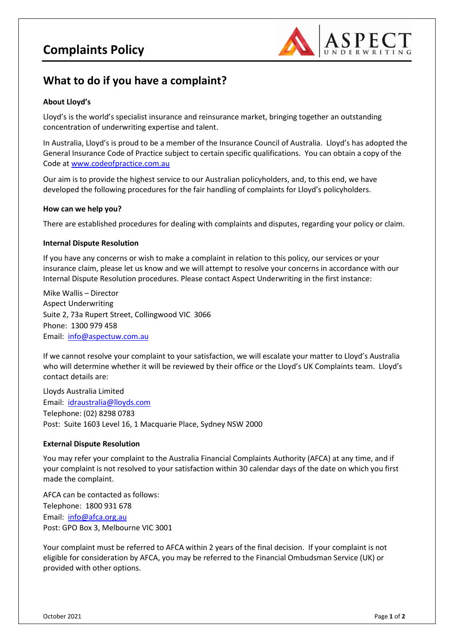

## **What to do if you have a complaint?**

### **About Lloyd's**

Lloyd's is the world's specialist insurance and reinsurance market, bringing together an outstanding concentration of underwriting expertise and talent.

In Australia, Lloyd's is proud to be a member of the Insurance Council of Australia. Lloyd's has adopted the General Insurance Code of Practice subject to certain specific qualifications. You can obtain a copy of the Code a[t www.codeofpractice.com.au](http://www.codeofpractice.com.au/)

Our aim is to provide the highest service to our Australian policyholders, and, to this end, we have developed the following procedures for the fair handling of complaints for Lloyd's policyholders.

#### **How can we help you?**

There are established procedures for dealing with complaints and disputes, regarding your policy or claim.

#### **Internal Dispute Resolution**

If you have any concerns or wish to make a complaint in relation to this policy, our services or your insurance claim, please let us know and we will attempt to resolve your concerns in accordance with our Internal Dispute Resolution procedures. Please contact Aspect Underwriting in the first instance:

Mike Wallis – Director Aspect Underwriting Suite 2, 73a Rupert Street, Collingwood VIC 3066 Phone: 1300 979 458 Email: [info@aspectuw.com.au](mailto:mike@aspectuw.com.au)

If we cannot resolve your complaint to your satisfaction, we will escalate your matter to Lloyd's Australia who will determine whether it will be reviewed by their office or the Lloyd's UK Complaints team. Lloyd's contact details are:

Lloyds Australia Limited Email: [idraustralia@lloyds.com](mailto:idraustralia@lloyds.com) Telephone: (02) 8298 0783 Post: Suite 1603 Level 16, 1 Macquarie Place, Sydney NSW 2000

#### **External Dispute Resolution**

You may refer your complaint to the Australia Financial Complaints Authority (AFCA) at any time, and if your complaint is not resolved to your satisfaction within 30 calendar days of the date on which you first made the complaint.

AFCA can be contacted as follows: Telephone: 1800 931 678 Email: [info@afca.org.au](mailto:info@afca.org.au) Post: GPO Box 3, Melbourne VIC 3001

Your complaint must be referred to AFCA within 2 years of the final decision. If your complaint is not eligible for consideration by AFCA, you may be referred to the Financial Ombudsman Service (UK) or provided with other options.